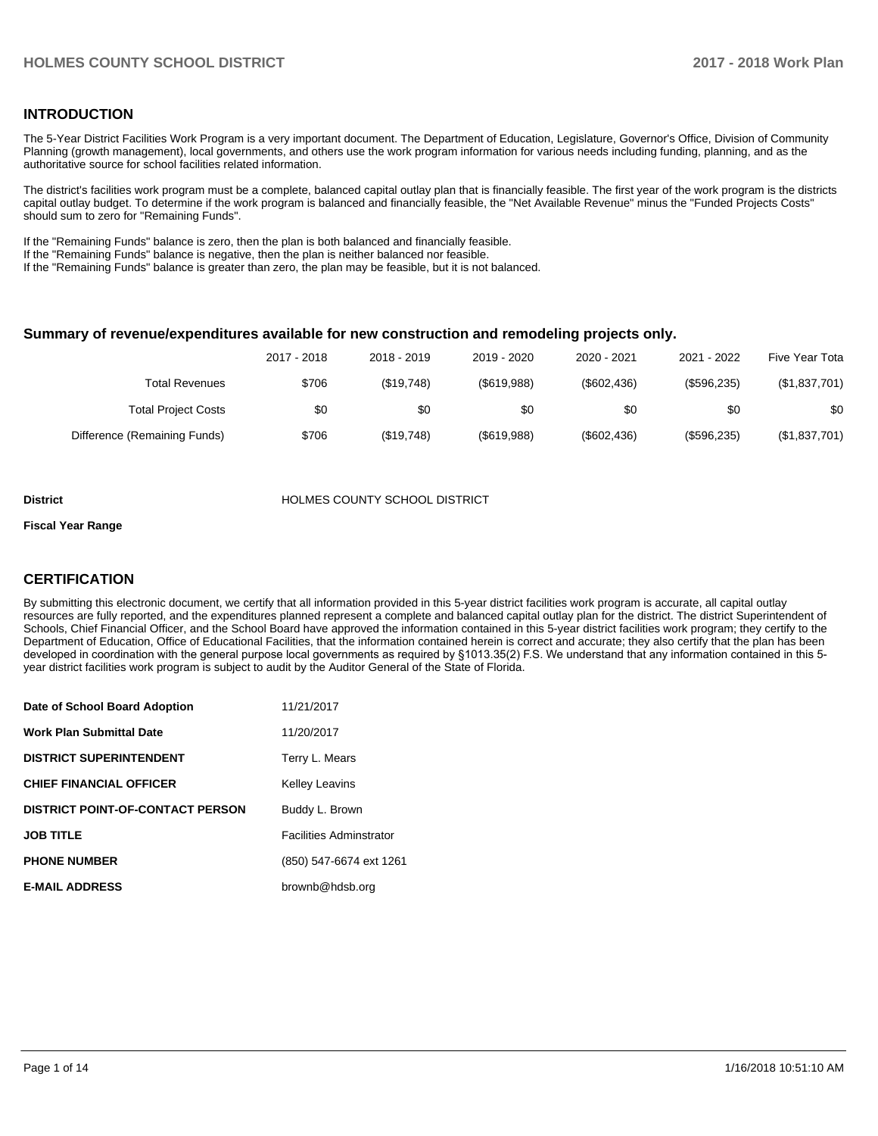## **INTRODUCTION**

The 5-Year District Facilities Work Program is a very important document. The Department of Education, Legislature, Governor's Office, Division of Community Planning (growth management), local governments, and others use the work program information for various needs including funding, planning, and as the authoritative source for school facilities related information.

The district's facilities work program must be a complete, balanced capital outlay plan that is financially feasible. The first year of the work program is the districts capital outlay budget. To determine if the work program is balanced and financially feasible, the "Net Available Revenue" minus the "Funded Projects Costs" should sum to zero for "Remaining Funds".

If the "Remaining Funds" balance is zero, then the plan is both balanced and financially feasible.

If the "Remaining Funds" balance is negative, then the plan is neither balanced nor feasible.

If the "Remaining Funds" balance is greater than zero, the plan may be feasible, but it is not balanced.

#### **Summary of revenue/expenditures available for new construction and remodeling projects only.**

| Five Year Tota | 2021 - 2022 | 2020 - 2021    | 2019 - 2020 | 2018 - 2019 | 2017 - 2018 |                              |
|----------------|-------------|----------------|-------------|-------------|-------------|------------------------------|
| (\$1,837,701)  | (\$596,235) | $($ \$602.436) | (S619.988)  | (\$19.748)  | \$706       | Total Revenues               |
| \$0            | \$0         | \$0            | \$0         | \$0         | \$0         | <b>Total Project Costs</b>   |
| (\$1,837,701)  | (\$596,235) | (\$602,436)    | (\$619,988) | (\$19,748)  | \$706       | Difference (Remaining Funds) |

#### **District COUNTY SCHOOL DISTRICT**

#### **Fiscal Year Range**

## **CERTIFICATION**

By submitting this electronic document, we certify that all information provided in this 5-year district facilities work program is accurate, all capital outlay resources are fully reported, and the expenditures planned represent a complete and balanced capital outlay plan for the district. The district Superintendent of Schools, Chief Financial Officer, and the School Board have approved the information contained in this 5-year district facilities work program; they certify to the Department of Education, Office of Educational Facilities, that the information contained herein is correct and accurate; they also certify that the plan has been developed in coordination with the general purpose local governments as required by §1013.35(2) F.S. We understand that any information contained in this 5year district facilities work program is subject to audit by the Auditor General of the State of Florida.

| Date of School Board Adoption           | 11/21/2017                     |
|-----------------------------------------|--------------------------------|
| <b>Work Plan Submittal Date</b>         | 11/20/2017                     |
| <b>DISTRICT SUPERINTENDENT</b>          | Terry L. Mears                 |
| <b>CHIEF FINANCIAL OFFICER</b>          | <b>Kelley Leavins</b>          |
| <b>DISTRICT POINT-OF-CONTACT PERSON</b> | Buddy L. Brown                 |
| <b>JOB TITLE</b>                        | <b>Facilities Adminstrator</b> |
| <b>PHONE NUMBER</b>                     | (850) 547-6674 ext 1261        |
| <b>E-MAIL ADDRESS</b>                   | brownb@hdsb.org                |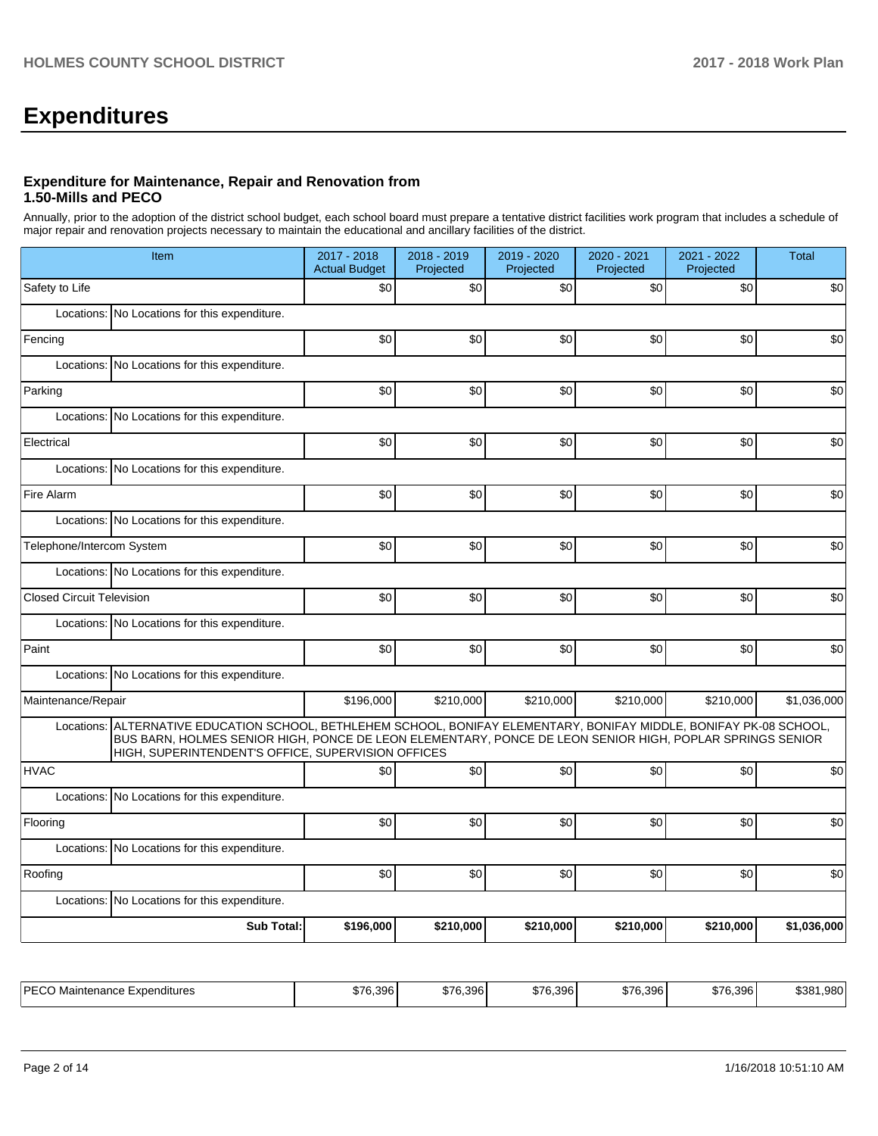# **Expenditures**

## **Expenditure for Maintenance, Repair and Renovation from 1.50-Mills and PECO**

Annually, prior to the adoption of the district school budget, each school board must prepare a tentative district facilities work program that includes a schedule of major repair and renovation projects necessary to maintain the educational and ancillary facilities of the district.

|                                  | Item                                                                                                                                                                                                                                                                                   |           | 2018 - 2019<br>Projected | 2019 - 2020<br>Projected | 2020 - 2021<br>Projected | 2021 - 2022<br>Projected | <b>Total</b> |
|----------------------------------|----------------------------------------------------------------------------------------------------------------------------------------------------------------------------------------------------------------------------------------------------------------------------------------|-----------|--------------------------|--------------------------|--------------------------|--------------------------|--------------|
| Safety to Life                   |                                                                                                                                                                                                                                                                                        | \$0       | \$0                      | \$0                      | \$0                      | \$0                      | \$0          |
|                                  | Locations: No Locations for this expenditure.                                                                                                                                                                                                                                          |           |                          |                          |                          |                          |              |
| Fencing                          |                                                                                                                                                                                                                                                                                        | \$0       | \$0                      | \$0                      | \$0                      | \$0                      | \$0          |
|                                  | Locations: No Locations for this expenditure.                                                                                                                                                                                                                                          |           |                          |                          |                          |                          |              |
| Parking                          |                                                                                                                                                                                                                                                                                        | \$0       | \$0                      | \$0                      | \$0                      | \$0                      | \$0          |
|                                  | Locations: No Locations for this expenditure.                                                                                                                                                                                                                                          |           |                          |                          |                          |                          |              |
| Electrical                       |                                                                                                                                                                                                                                                                                        | \$0       | \$0                      | \$0                      | \$0                      | \$0                      | \$0          |
|                                  | Locations: No Locations for this expenditure.                                                                                                                                                                                                                                          |           |                          |                          |                          |                          |              |
| Fire Alarm                       |                                                                                                                                                                                                                                                                                        | \$0       | \$0                      | \$0                      | \$0                      | \$0                      | \$0          |
|                                  | Locations: No Locations for this expenditure.                                                                                                                                                                                                                                          |           |                          |                          |                          |                          |              |
| Telephone/Intercom System        |                                                                                                                                                                                                                                                                                        | \$0       | \$0                      | \$0                      | \$0                      | \$0                      | \$0          |
|                                  | Locations: No Locations for this expenditure.                                                                                                                                                                                                                                          |           |                          |                          |                          |                          |              |
| <b>Closed Circuit Television</b> |                                                                                                                                                                                                                                                                                        | \$0       | \$0                      | \$0                      | \$0                      | \$0                      | \$0          |
|                                  | Locations: No Locations for this expenditure.                                                                                                                                                                                                                                          |           |                          |                          |                          |                          |              |
| Paint                            |                                                                                                                                                                                                                                                                                        | \$0       | \$0                      | \$0                      | \$0                      | \$0                      | \$0          |
|                                  | Locations: No Locations for this expenditure.                                                                                                                                                                                                                                          |           |                          |                          |                          |                          |              |
| Maintenance/Repair               |                                                                                                                                                                                                                                                                                        | \$196,000 | \$210,000                | \$210,000                | \$210,000                | \$210,000                | \$1,036,000  |
|                                  | Locations: ALTERNATIVE EDUCATION SCHOOL, BETHLEHEM SCHOOL, BONIFAY ELEMENTARY, BONIFAY MIDDLE, BONIFAY PK-08 SCHOOL,<br>BUS BARN, HOLMES SENIOR HIGH, PONCE DE LEON ELEMENTARY, PONCE DE LEON SENIOR HIGH, POPLAR SPRINGS SENIOR<br>HIGH, SUPERINTENDENT'S OFFICE, SUPERVISION OFFICES |           |                          |                          |                          |                          |              |
| <b>HVAC</b>                      |                                                                                                                                                                                                                                                                                        | \$0       | \$0                      | \$0                      | \$0                      | \$0                      | \$0          |
|                                  | Locations: No Locations for this expenditure.                                                                                                                                                                                                                                          |           |                          |                          |                          |                          |              |
| Flooring                         |                                                                                                                                                                                                                                                                                        | \$0       | \$0                      | \$0                      | \$0                      | \$0                      | \$0          |
|                                  | Locations: No Locations for this expenditure.                                                                                                                                                                                                                                          |           |                          |                          |                          |                          |              |
| Roofing                          |                                                                                                                                                                                                                                                                                        | \$0       | \$0                      | \$0                      | \$0                      | \$0                      | \$0          |
|                                  | Locations: No Locations for this expenditure.                                                                                                                                                                                                                                          |           |                          |                          |                          |                          |              |
|                                  | <b>Sub Total:</b>                                                                                                                                                                                                                                                                      | \$196,000 | \$210,000                | \$210,000                | \$210,000                | \$210,000                | \$1,036,000  |
|                                  |                                                                                                                                                                                                                                                                                        |           |                          |                          |                          |                          |              |

| IPEC)<br>-xpenditures<br>≅ntenance L<br>≅ Ma | 76.396<br>$\sim$<br>$\sim$ | \$76.396 | <b>\$76.306</b><br>\$76.3961 | \$76,396 | 0.7000<br>. 6.396 I<br>.01 <sub>F</sub> | .980<br>ືາລຂາ |
|----------------------------------------------|----------------------------|----------|------------------------------|----------|-----------------------------------------|---------------|
|----------------------------------------------|----------------------------|----------|------------------------------|----------|-----------------------------------------|---------------|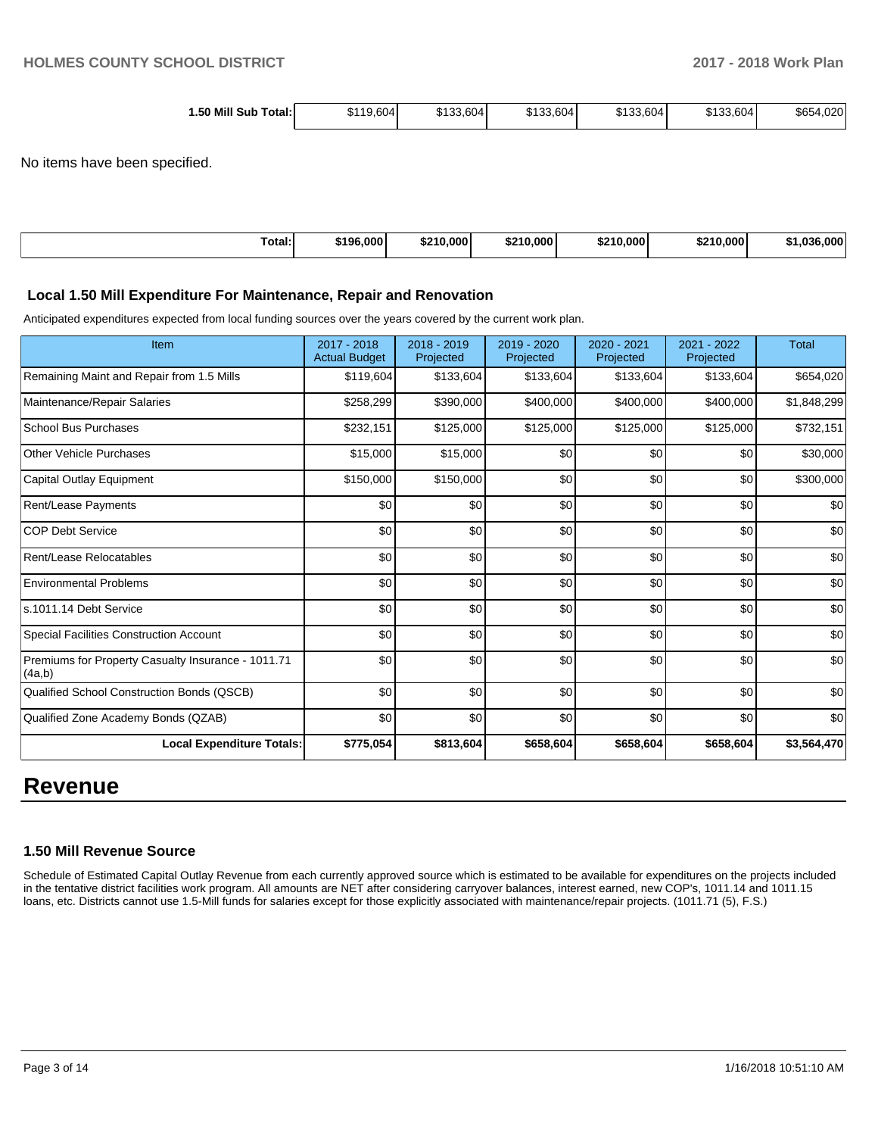| 1.50 Mill<br>Total:۱<br>Sub | \$119,604 | \$133.604 <b> </b> | \$133,604 | \$133,604 | \$133,604 | \$654,020 |
|-----------------------------|-----------|--------------------|-----------|-----------|-----------|-----------|
|-----------------------------|-----------|--------------------|-----------|-----------|-----------|-----------|

No items have been specified.

| <b>Service Contracts</b> | .000        | .000    | .000    | 00 A A | 0.000 | .000 |
|--------------------------|-------------|---------|---------|--------|-------|------|
| ™otal:                   | <b>C106</b> | ሱ ባ ብ ጠ | $t = 0$ | .000   |       | .    |
|                          |             |         |         |        |       |      |

#### **Local 1.50 Mill Expenditure For Maintenance, Repair and Renovation**

Anticipated expenditures expected from local funding sources over the years covered by the current work plan.

| Item                                                         | 2017 - 2018<br><b>Actual Budget</b> | 2018 - 2019<br>Projected | 2019 - 2020<br>Projected | 2020 - 2021<br>Projected | 2021 - 2022<br>Projected | <b>Total</b> |
|--------------------------------------------------------------|-------------------------------------|--------------------------|--------------------------|--------------------------|--------------------------|--------------|
| Remaining Maint and Repair from 1.5 Mills                    | \$119,604                           | \$133,604                | \$133,604                | \$133,604                | \$133,604                | \$654,020    |
| Maintenance/Repair Salaries                                  | \$258,299                           | \$390,000                | \$400,000                | \$400,000                | \$400,000                | \$1,848,299  |
| <b>School Bus Purchases</b>                                  | \$232,151                           | \$125,000                | \$125,000                | \$125,000                | \$125,000                | \$732,151    |
| <b>Other Vehicle Purchases</b>                               | \$15,000                            | \$15,000                 | \$0                      | \$0                      | \$0                      | \$30,000     |
| Capital Outlay Equipment                                     | \$150,000                           | \$150,000                | \$0                      | \$0                      | \$0                      | \$300,000    |
| Rent/Lease Payments                                          | \$0                                 | \$0                      | \$0                      | \$0                      | \$0                      | \$0          |
| <b>COP Debt Service</b>                                      | \$0                                 | \$0                      | \$0                      | \$0                      | \$0                      | \$0          |
| Rent/Lease Relocatables                                      | \$0                                 | \$0                      | \$0                      | \$0                      | \$0                      | \$0          |
| <b>Environmental Problems</b>                                | \$0                                 | \$0                      | \$0                      | \$0                      | \$0                      | \$0          |
| s.1011.14 Debt Service                                       | \$0                                 | \$0                      | \$0                      | \$0                      | \$0                      | \$0          |
| Special Facilities Construction Account                      | \$0                                 | \$0                      | \$0                      | \$0                      | \$0                      | \$0          |
| Premiums for Property Casualty Insurance - 1011.71<br>(4a,b) | \$0                                 | \$0                      | \$0                      | \$0                      | \$0                      | \$0          |
| Qualified School Construction Bonds (QSCB)                   | \$0                                 | \$0                      | \$0                      | \$0                      | \$0                      | \$0          |
| Qualified Zone Academy Bonds (QZAB)                          | \$0                                 | \$0                      | \$0                      | \$0                      | \$0                      | \$0          |
| <b>Local Expenditure Totals:</b>                             | \$775,054                           | \$813,604                | \$658,604                | \$658,604                | \$658,604                | \$3,564,470  |

## **Revenue**

#### **1.50 Mill Revenue Source**

Schedule of Estimated Capital Outlay Revenue from each currently approved source which is estimated to be available for expenditures on the projects included in the tentative district facilities work program. All amounts are NET after considering carryover balances, interest earned, new COP's, 1011.14 and 1011.15 loans, etc. Districts cannot use 1.5-Mill funds for salaries except for those explicitly associated with maintenance/repair projects. (1011.71 (5), F.S.)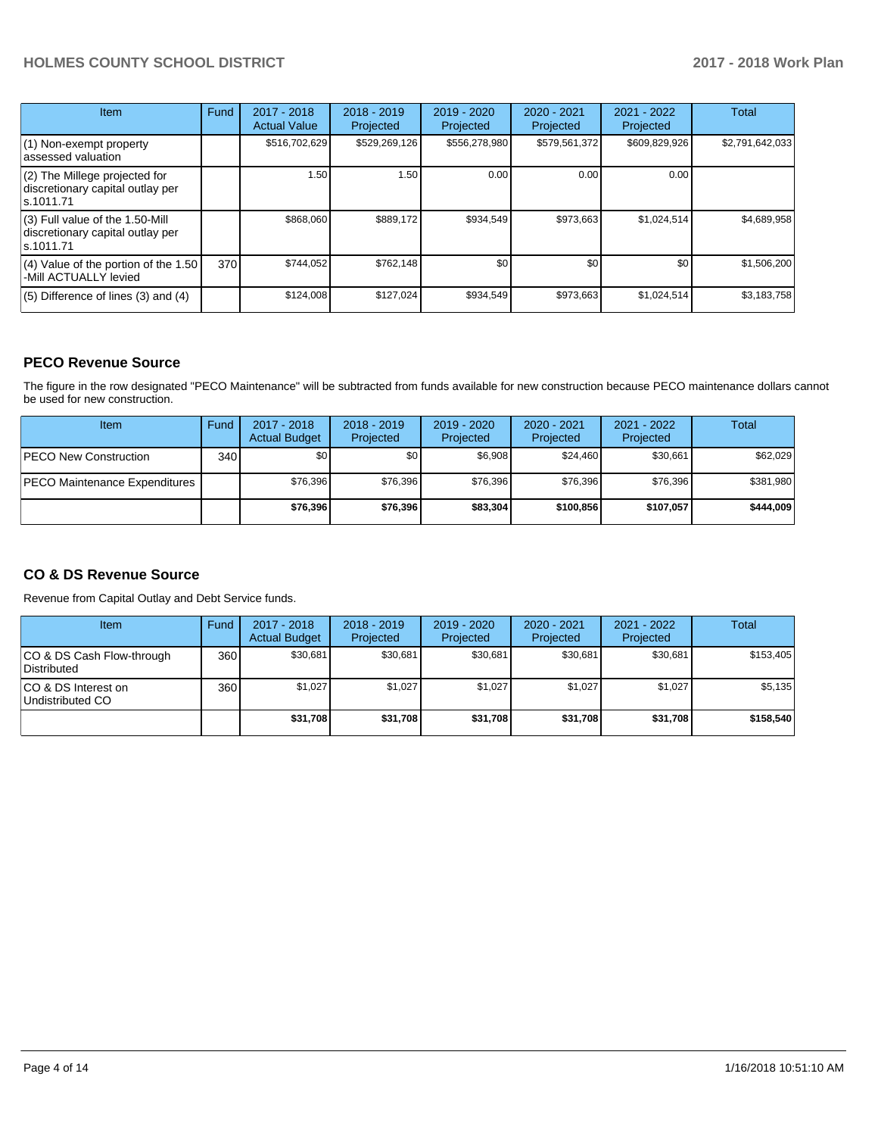## **HOLMES COUNTY SCHOOL DISTRICT 2017 - 2018 Work Plan**

| Item                                                                                | Fund | 2017 - 2018<br><b>Actual Value</b> | $2018 - 2019$<br>Projected | $2019 - 2020$<br>Projected | $2020 - 2021$<br>Projected | $2021 - 2022$<br>Projected | <b>Total</b>    |
|-------------------------------------------------------------------------------------|------|------------------------------------|----------------------------|----------------------------|----------------------------|----------------------------|-----------------|
| (1) Non-exempt property<br>lassessed valuation                                      |      | \$516,702,629                      | \$529,269,126              | \$556,278,980              | \$579,561,372              | \$609,829,926              | \$2,791,642,033 |
| $(2)$ The Millege projected for<br>discretionary capital outlay per<br>ls.1011.71   |      | 1.50                               | 1.50                       | 0.00                       | 0.00                       | 0.00                       |                 |
| $(3)$ Full value of the 1.50-Mill<br>discretionary capital outlay per<br>ls.1011.71 |      | \$868,060                          | \$889,172                  | \$934.549                  | \$973,663                  | \$1,024,514                | \$4,689,958     |
| $(4)$ Value of the portion of the 1.50<br>-Mill ACTUALLY levied                     | 370I | \$744.052                          | \$762,148                  | \$0                        | \$0                        | \$0                        | \$1,506,200     |
| $(5)$ Difference of lines (3) and (4)                                               |      | \$124,008                          | \$127,024                  | \$934,549                  | \$973,663                  | \$1,024,514                | \$3,183,758     |

## **PECO Revenue Source**

The figure in the row designated "PECO Maintenance" will be subtracted from funds available for new construction because PECO maintenance dollars cannot be used for new construction.

| Item                           | Fund | $2017 - 2018$<br><b>Actual Budget</b> | $2018 - 2019$<br>Projected | 2019 - 2020<br>Projected | $2020 - 2021$<br>Projected | $2021 - 2022$<br>Projected | <b>Total</b> |
|--------------------------------|------|---------------------------------------|----------------------------|--------------------------|----------------------------|----------------------------|--------------|
| <b>IPECO New Construction</b>  | 340  | \$0                                   | \$٥Ι                       | \$6,908                  | \$24,460                   | \$30,661                   | \$62,029     |
| IPECO Maintenance Expenditures |      | \$76,396                              | \$76,396                   | \$76.396                 | \$76,396                   | \$76,396                   | \$381,980    |
|                                |      | \$76,396                              | \$76,396                   | \$83,304                 | \$100.856                  | \$107.057                  | \$444,009    |

## **CO & DS Revenue Source**

Revenue from Capital Outlay and Debt Service funds.

| Item                                      | Fund | $2017 - 2018$<br><b>Actual Budget</b> | $2018 - 2019$<br>Projected | 2019 - 2020<br>Projected | $2020 - 2021$<br>Projected | 2021 - 2022<br>Projected | Total     |
|-------------------------------------------|------|---------------------------------------|----------------------------|--------------------------|----------------------------|--------------------------|-----------|
| ICO & DS Cash Flow-through<br>Distributed | 360  | \$30.681                              | \$30,681                   | \$30.681                 | \$30.681                   | \$30,681                 | \$153.405 |
| ICO & DS Interest on<br>Undistributed CO  | 360  | \$1.027                               | \$1,027                    | \$1.027                  | \$1.027                    | \$1.027                  | \$5,135   |
|                                           |      | \$31,708                              | \$31,708                   | \$31,708                 | \$31.708                   | \$31.708                 | \$158,540 |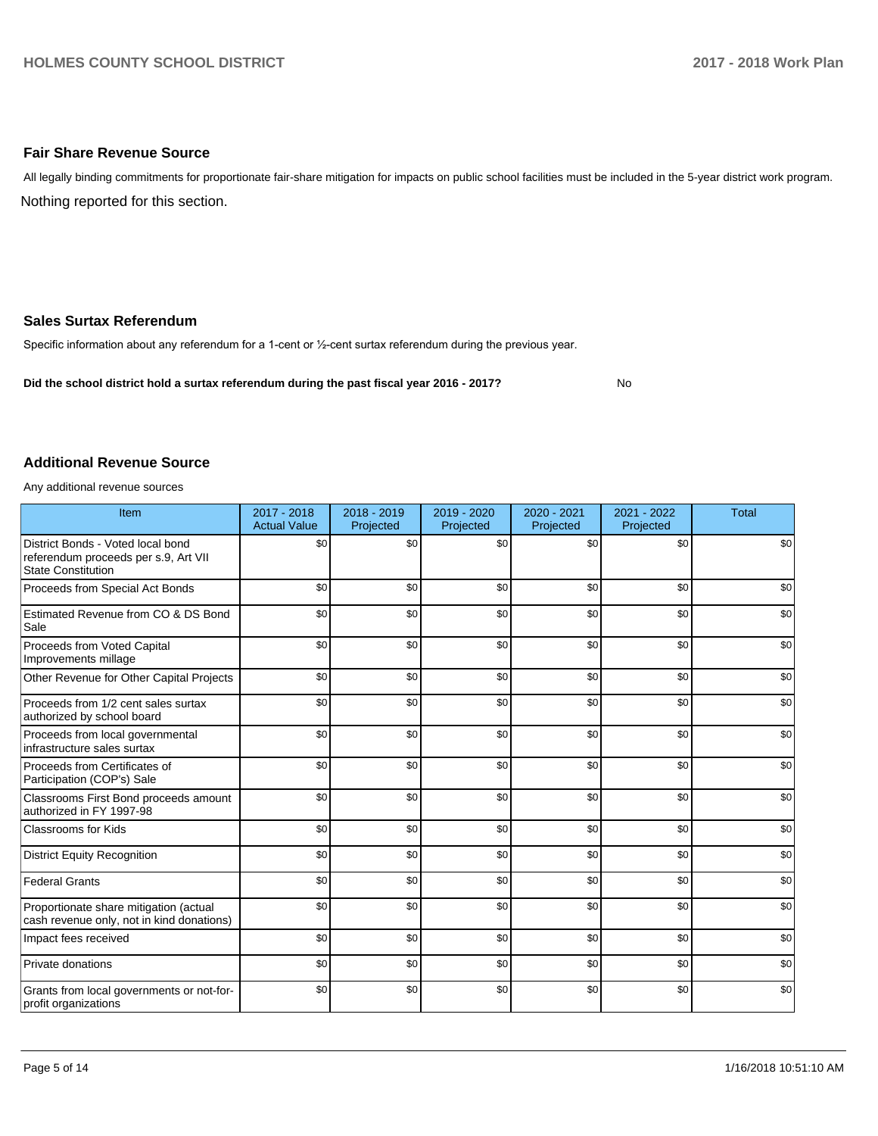### **Fair Share Revenue Source**

Nothing reported for this section. All legally binding commitments for proportionate fair-share mitigation for impacts on public school facilities must be included in the 5-year district work program.

#### **Sales Surtax Referendum**

Specific information about any referendum for a 1-cent or 1/2-cent surtax referendum during the previous year.

**Did the school district hold a surtax referendum during the past fiscal year 2016 - 2017?**

No

#### **Additional Revenue Source**

Any additional revenue sources

| Item                                                                                                   | 2017 - 2018<br><b>Actual Value</b> | 2018 - 2019<br>Projected | 2019 - 2020<br>Projected | 2020 - 2021<br>Projected | 2021 - 2022<br>Projected | <b>Total</b> |
|--------------------------------------------------------------------------------------------------------|------------------------------------|--------------------------|--------------------------|--------------------------|--------------------------|--------------|
| District Bonds - Voted local bond<br>referendum proceeds per s.9, Art VII<br><b>State Constitution</b> | \$0                                | \$0                      | \$0                      | \$0                      | \$0                      | \$0          |
| Proceeds from Special Act Bonds                                                                        | \$0                                | \$0                      | \$0                      | \$0                      | \$0                      | \$0          |
| Estimated Revenue from CO & DS Bond<br>Sale                                                            | \$0                                | \$0                      | \$0                      | \$0                      | \$0                      | \$0          |
| Proceeds from Voted Capital<br>Improvements millage                                                    | \$0                                | \$0                      | \$0                      | \$0                      | \$0                      | \$0          |
| Other Revenue for Other Capital Projects                                                               | \$0                                | \$0                      | \$0                      | \$0                      | \$0                      | \$0          |
| Proceeds from 1/2 cent sales surtax<br>authorized by school board                                      | \$0                                | \$0                      | \$0                      | \$0                      | \$0                      | \$0          |
| Proceeds from local governmental<br>infrastructure sales surtax                                        | \$0                                | \$0                      | \$0                      | \$0                      | \$0                      | \$0          |
| Proceeds from Certificates of<br>Participation (COP's) Sale                                            | \$0                                | \$0                      | \$0                      | \$0                      | \$0                      | \$0          |
| Classrooms First Bond proceeds amount<br>authorized in FY 1997-98                                      | \$0                                | \$0                      | \$0                      | \$0                      | \$0                      | \$0          |
| <b>Classrooms for Kids</b>                                                                             | \$0                                | \$0                      | \$0                      | \$0                      | \$0                      | \$0          |
| District Equity Recognition                                                                            | \$0                                | \$0                      | \$0                      | \$0                      | \$0                      | \$0          |
| <b>Federal Grants</b>                                                                                  | \$0                                | \$0                      | \$0                      | \$0                      | \$0                      | \$0          |
| Proportionate share mitigation (actual<br>cash revenue only, not in kind donations)                    | \$0                                | \$0                      | \$0                      | \$0                      | \$0                      | \$0          |
| Impact fees received                                                                                   | \$0                                | \$0                      | \$0                      | \$0                      | \$0                      | \$0          |
| Private donations                                                                                      | \$0                                | \$0                      | \$0                      | \$0                      | \$0                      | \$0          |
| Grants from local governments or not-for-<br>profit organizations                                      | \$0                                | \$0                      | \$0                      | \$0                      | \$0                      | \$0          |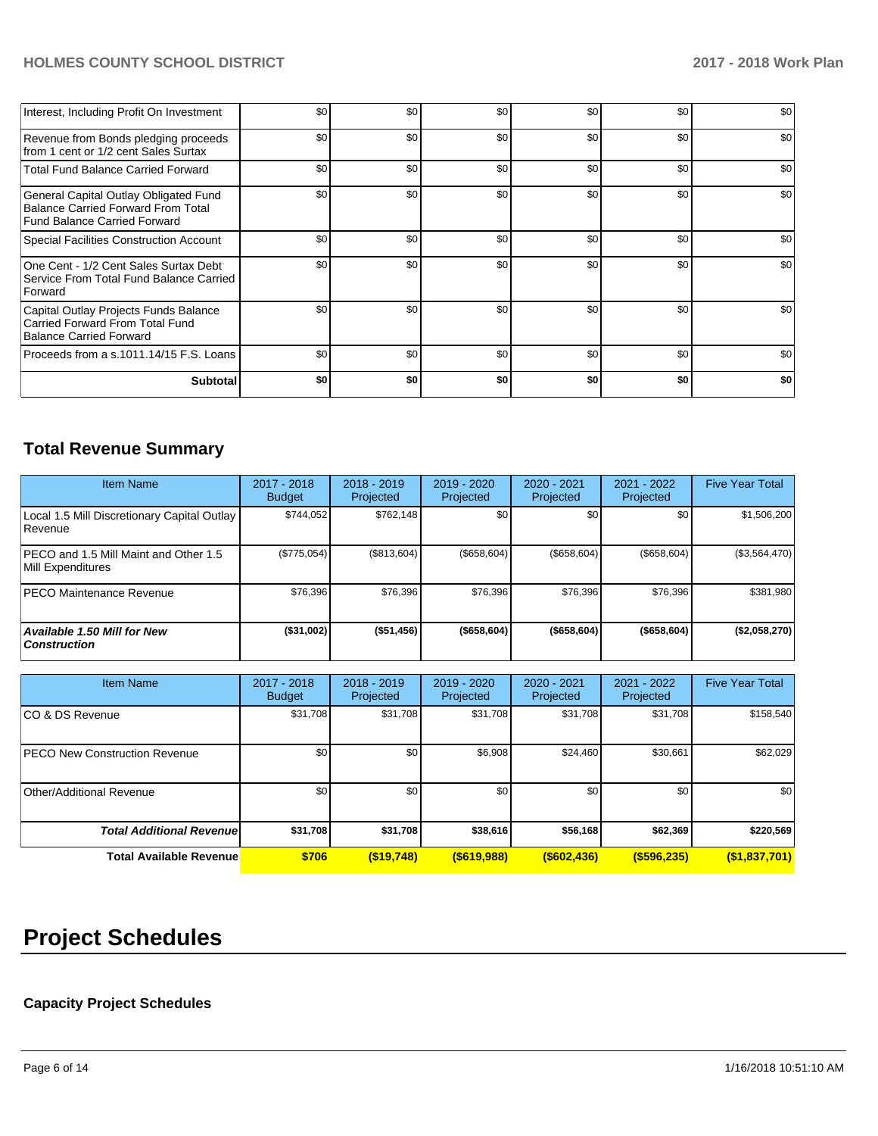## **HOLMES COUNTY SCHOOL DISTRICT 2017 - 2018 Work Plan**

| Interest, Including Profit On Investment                                                                    | \$0 | \$0 | \$0 | \$0 | \$0 | \$0 |
|-------------------------------------------------------------------------------------------------------------|-----|-----|-----|-----|-----|-----|
| Revenue from Bonds pledging proceeds<br>from 1 cent or 1/2 cent Sales Surtax                                | \$0 | \$0 | \$0 | \$0 | \$0 | \$0 |
| <b>Total Fund Balance Carried Forward</b>                                                                   | \$0 | \$0 | \$0 | \$0 | \$0 | \$0 |
| General Capital Outlay Obligated Fund<br>Balance Carried Forward From Total<br>Fund Balance Carried Forward | \$0 | \$0 | \$0 | \$0 | \$0 | \$0 |
| Special Facilities Construction Account                                                                     | \$0 | \$0 | \$0 | \$0 | \$0 | \$0 |
| One Cent - 1/2 Cent Sales Surtax Debt<br>Service From Total Fund Balance Carried<br>Forward                 | \$0 | \$0 | \$0 | \$0 | \$0 | \$0 |
| Capital Outlay Projects Funds Balance<br>Carried Forward From Total Fund<br><b>Balance Carried Forward</b>  | \$0 | \$0 | \$0 | \$0 | \$0 | \$0 |
| Proceeds from a s.1011.14/15 F.S. Loans                                                                     | \$0 | \$0 | \$0 | \$0 | \$0 | \$0 |
| <b>Subtotal</b>                                                                                             | \$O | \$0 | \$0 | \$0 | \$0 | \$0 |

## **Total Revenue Summary**

| <b>Item Name</b>                                           | 2017 - 2018<br><b>Budget</b> | $2018 - 2019$<br>Projected | $2019 - 2020$<br>Projected | 2020 - 2021<br>Projected | 2021 - 2022<br>Projected | <b>Five Year Total</b> |
|------------------------------------------------------------|------------------------------|----------------------------|----------------------------|--------------------------|--------------------------|------------------------|
| Local 1.5 Mill Discretionary Capital Outlay<br>l Revenue   | \$744.052                    | \$762,148                  | \$0                        | \$0                      | \$0 <sub>0</sub>         | \$1,506,200            |
| PECO and 1.5 Mill Maint and Other 1.5<br>Mill Expenditures | (\$775,054)                  | (\$813,604)                | (\$658,604)                | (\$658,604)              | (\$658,604)              | (\$3,564,470)          |
| IPECO Maintenance Revenue                                  | \$76,396                     | \$76.396                   | \$76,396                   | \$76,396                 | \$76,396                 | \$381,980              |
| Available 1.50 Mill for New<br><b>Construction</b>         | (\$31,002)                   | (\$51,456)                 | ( \$658, 604)              | ( \$658, 604)            | ( \$658, 604)            | (\$2,058,270)          |

| <b>Item Name</b>                     | 2017 - 2018<br><b>Budget</b> | $2018 - 2019$<br>Projected | $2019 - 2020$<br>Projected | $2020 - 2021$<br>Projected | $2021 - 2022$<br>Projected | <b>Five Year Total</b> |
|--------------------------------------|------------------------------|----------------------------|----------------------------|----------------------------|----------------------------|------------------------|
| ICO & DS Revenue                     | \$31,708                     | \$31,708                   | \$31,708                   | \$31,708                   | \$31,708                   | \$158,540              |
| <b>PECO New Construction Revenue</b> | \$0                          | \$0                        | \$6,908                    | \$24,460                   | \$30,661                   | \$62,029               |
| Other/Additional Revenue             | \$0                          | \$0                        | \$0                        | \$0                        | \$0                        | \$0                    |
| <b>Total Additional Revenuel</b>     | \$31,708                     | \$31,708                   | \$38,616                   | \$56,168                   | \$62,369                   | \$220,569              |
| <b>Total Available Revenue</b>       | \$706                        | $($ \$19,748)              | $($ \$619,988)             | $($ \$602,436)             | $($ \$596,235)             | (\$1,837,701)          |

# **Project Schedules**

## **Capacity Project Schedules**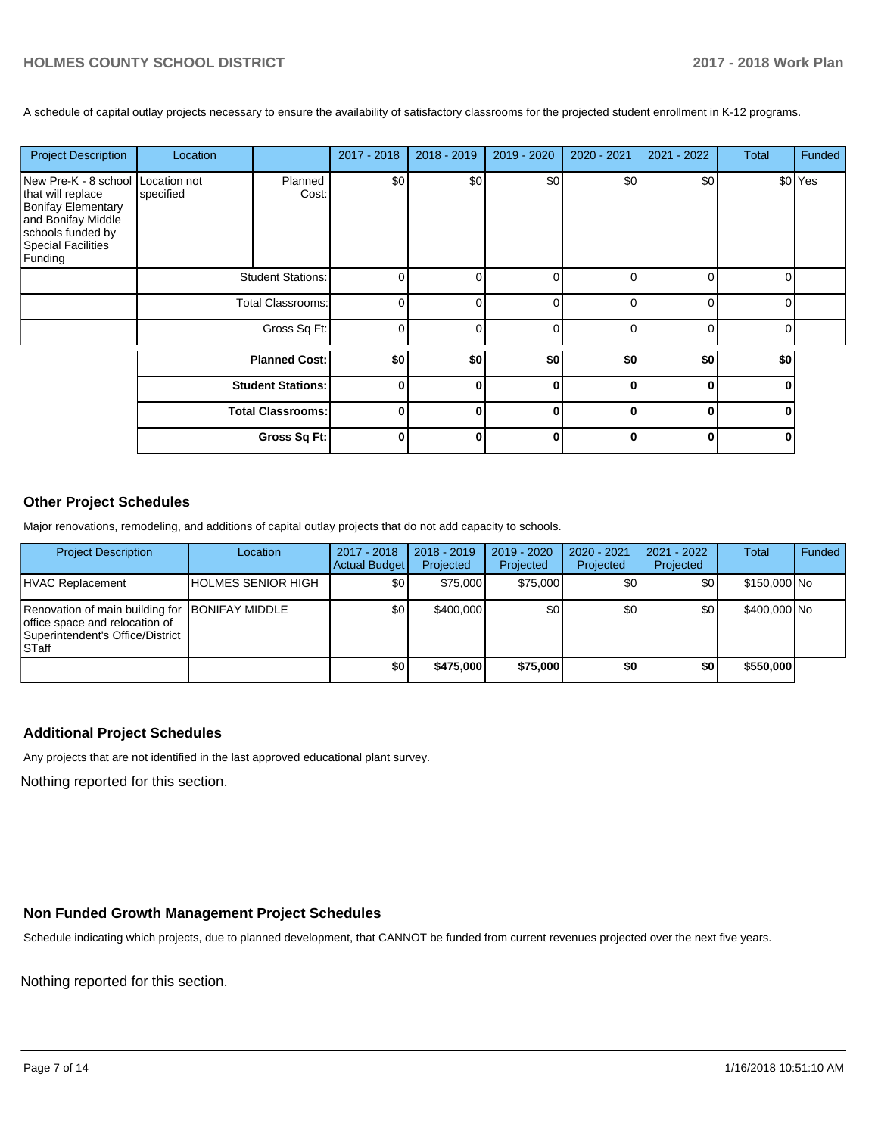A schedule of capital outlay projects necessary to ensure the availability of satisfactory classrooms for the projected student enrollment in K-12 programs.

| <b>Project Description</b>                                                                                                                                      | Location                 |                          | 2017 - 2018 | 2018 - 2019 | 2019 - 2020 | 2020 - 2021 | 2021 - 2022 | Total | Funded  |
|-----------------------------------------------------------------------------------------------------------------------------------------------------------------|--------------------------|--------------------------|-------------|-------------|-------------|-------------|-------------|-------|---------|
| New Pre-K - 8 school Location not<br>that will replace<br><b>Bonifay Elementary</b><br>and Bonifay Middle<br>schools funded by<br>Special Facilities<br>Funding | specified                | Planned<br>Cost:         | \$0         | \$0         | \$0         | \$0         | \$0         |       | \$0 Yes |
|                                                                                                                                                                 | <b>Student Stations:</b> |                          | ∩           |             |             |             |             |       |         |
|                                                                                                                                                                 | <b>Total Classrooms:</b> |                          | O           |             | ∩           | ∩           | ∩           |       |         |
|                                                                                                                                                                 |                          | Gross Sq Ft:             | O           |             | r           |             | r           |       |         |
|                                                                                                                                                                 |                          | <b>Planned Cost:</b>     | \$0         | \$0         | \$0         | \$0         | \$0         | \$0   |         |
|                                                                                                                                                                 | <b>Student Stations:</b> |                          | $\bf{0}$    | ŋ           | O           | ŋ           | ŋ           | U     |         |
|                                                                                                                                                                 |                          | <b>Total Classrooms:</b> | $\bf{0}$    | O           | $\bf{0}$    | O           | $\Omega$    | 0     |         |
|                                                                                                                                                                 |                          | Gross Sq Ft:             | $\Omega$    | n           | $\bf{0}$    | ŋ           | $\Omega$    | 0     |         |

## **Other Project Schedules**

Major renovations, remodeling, and additions of capital outlay projects that do not add capacity to schools.

| <b>Project Description</b>                                                                                                     | Location                  | 2017 - 2018<br><b>Actual Budget</b> | $2018 - 2019$<br>Projected | 2019 - 2020<br>Projected | 2020 - 2021<br>Projected | 2021 - 2022<br>Projected | <b>Total</b> | Funded |
|--------------------------------------------------------------------------------------------------------------------------------|---------------------------|-------------------------------------|----------------------------|--------------------------|--------------------------|--------------------------|--------------|--------|
| HVAC Replacement                                                                                                               | <b>HOLMES SENIOR HIGH</b> | \$0                                 | \$75,000                   | \$75,000                 | \$0                      | \$0                      | \$150,000 No |        |
| Renovation of main building for BONIFAY MIDDLE<br>office space and relocation of<br>Superintendent's Office/District<br>lSTaff |                           | \$0                                 | \$400,000                  | \$0                      | \$0                      | \$0 <sub>1</sub>         | \$400,000 No |        |
|                                                                                                                                |                           | \$0                                 | \$475,000                  | \$75,000                 | \$0                      | \$0                      | \$550,000    |        |

## **Additional Project Schedules**

Any projects that are not identified in the last approved educational plant survey.

Nothing reported for this section.

## **Non Funded Growth Management Project Schedules**

Schedule indicating which projects, due to planned development, that CANNOT be funded from current revenues projected over the next five years.

Nothing reported for this section.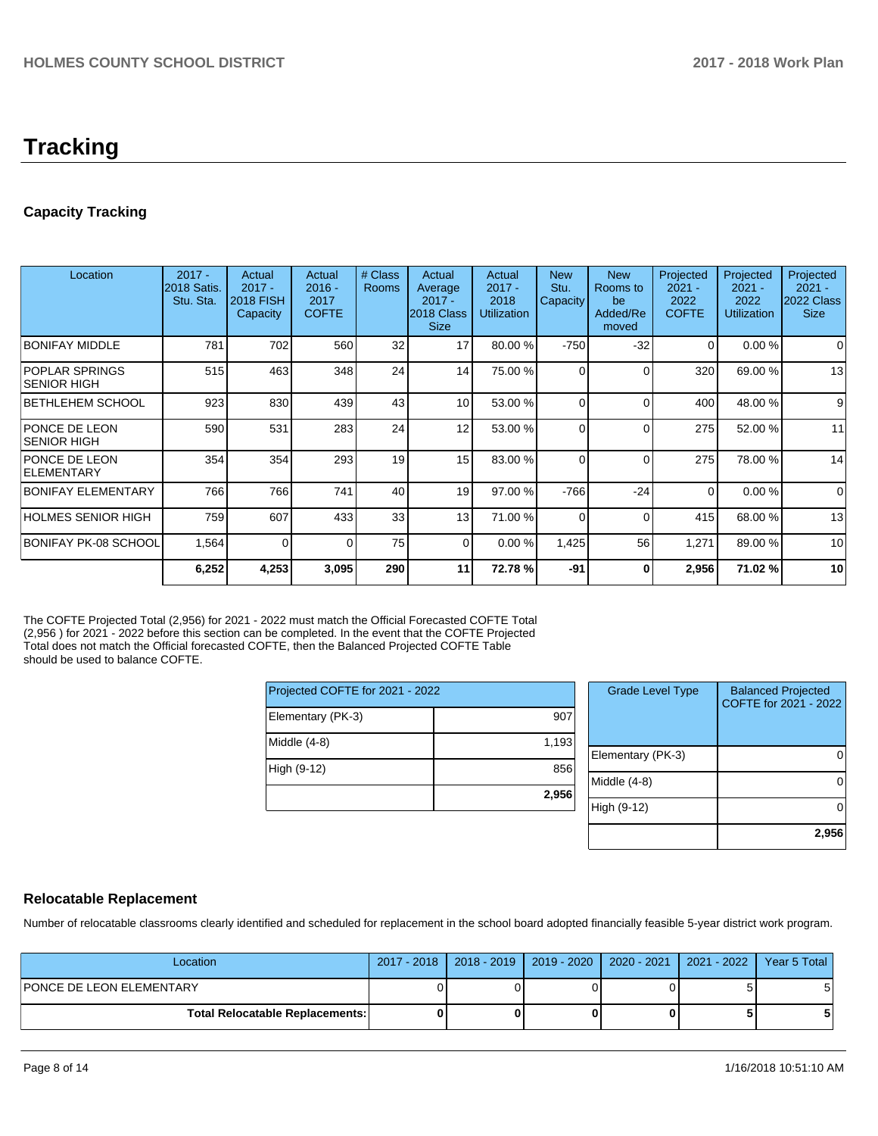## **Tracking**

## **Capacity Tracking**

| Location                              | $2017 -$<br>2018 Satis.<br>Stu. Sta. | Actual<br>$2017 -$<br><b>2018 FISH</b><br>Capacity | Actual<br>$2016 -$<br>2017<br><b>COFTE</b> | # Class<br><b>Rooms</b> | Actual<br>Average<br>$2017 -$<br>2018 Class<br><b>Size</b> | Actual<br>$2017 -$<br>2018<br><b>Utilization</b> | <b>New</b><br>Stu.<br>Capacity | <b>New</b><br>Rooms to<br>be<br>Added/Re<br>moved | Projected<br>$2021 -$<br>2022<br><b>COFTE</b> | Projected<br>$2021 -$<br>2022<br><b>Utilization</b> | Projected<br>$2021 -$<br>2022 Class<br><b>Size</b> |
|---------------------------------------|--------------------------------------|----------------------------------------------------|--------------------------------------------|-------------------------|------------------------------------------------------------|--------------------------------------------------|--------------------------------|---------------------------------------------------|-----------------------------------------------|-----------------------------------------------------|----------------------------------------------------|
| <b>BONIFAY MIDDLE</b>                 | 781                                  | 702                                                | 560                                        | 32                      | 17                                                         | 80.00 %                                          | $-750$                         | $-32$                                             | $\Omega$                                      | 0.00%                                               | 0                                                  |
| <b>POPLAR SPRINGS</b><br>ISENIOR HIGH | 515                                  | 463                                                | 348                                        | 24                      | 14                                                         | 75.00 %                                          | $\Omega$                       |                                                   | 320                                           | 69.00 %                                             | 13                                                 |
| BETHLEHEM SCHOOL                      | 923                                  | 830                                                | 439                                        | 43                      | 10 <sup>1</sup>                                            | 53.00 %                                          | $\Omega$                       | $\Omega$                                          | 400                                           | 48.00 %                                             | 9                                                  |
| <b>PONCE DE LEON</b><br>ISENIOR HIGH  | 590                                  | 531                                                | 283                                        | 24                      | 12                                                         | 53.00 %                                          | $\Omega$                       | $\Omega$                                          | 275                                           | 52.00 %                                             | 11                                                 |
| PONCE DE LEON<br><b>ELEMENTARY</b>    | 354                                  | 354                                                | 293                                        | 19                      | 15                                                         | 83.00 %                                          | $\Omega$                       | $\Omega$                                          | 275                                           | 78.00 %                                             | 14                                                 |
| <b>BONIFAY ELEMENTARY</b>             | 766                                  | 766                                                | 741                                        | 40                      | 19                                                         | 97.00 %                                          | $-766$                         | $-24$                                             | $\Omega$                                      | 0.00%                                               | $\mathbf 0$                                        |
| HOLMES SENIOR HIGH                    | 759                                  | 607                                                | 433                                        | 33                      | 13 <sup>1</sup>                                            | 71.00 %                                          | $\Omega$                       | ∩                                                 | 415                                           | 68.00 %                                             | 13                                                 |
| BONIFAY PK-08 SCHOOL                  | 1,564                                | 0                                                  | $\Omega$                                   | 75                      | $\Omega$                                                   | 0.00%                                            | 1,425                          | 56                                                | 1,271                                         | 89.00 %                                             | 10                                                 |
|                                       | 6,252                                | 4,253                                              | 3,095                                      | 290                     | 11                                                         | 72.78%                                           | $-91$                          | O                                                 | 2,956                                         | 71.02 %                                             | 10                                                 |

The COFTE Projected Total (2,956) for 2021 - 2022 must match the Official Forecasted COFTE Total (2,956 ) for 2021 - 2022 before this section can be completed. In the event that the COFTE Projected Total does not match the Official forecasted COFTE, then the Balanced Projected COFTE Table should be used to balance COFTE.

| Projected COFTE for 2021 - 2022 |       |  |  |  |  |
|---------------------------------|-------|--|--|--|--|
| Elementary (PK-3)               | 907   |  |  |  |  |
| Middle (4-8)                    | 1,193 |  |  |  |  |
| High (9-12)                     | 856   |  |  |  |  |
|                                 | 2,956 |  |  |  |  |

| <b>Grade Level Type</b> | <b>Balanced Projected</b><br>COFTE for 2021 - 2022 |
|-------------------------|----------------------------------------------------|
| Elementary (PK-3)       |                                                    |
| Middle $(4-8)$          |                                                    |
| High (9-12)             |                                                    |
|                         | 2,956                                              |

## **Relocatable Replacement**

Number of relocatable classrooms clearly identified and scheduled for replacement in the school board adopted financially feasible 5-year district work program.

| Location                               |  | 2017 - 2018   2018 - 2019   2019 - 2020   2020 - 2021   2021 - 2022 | Year 5 Total |
|----------------------------------------|--|---------------------------------------------------------------------|--------------|
| <b>PONCE DE LEON ELEMENTARY</b>        |  |                                                                     | 5            |
| <b>Total Relocatable Replacements:</b> |  |                                                                     |              |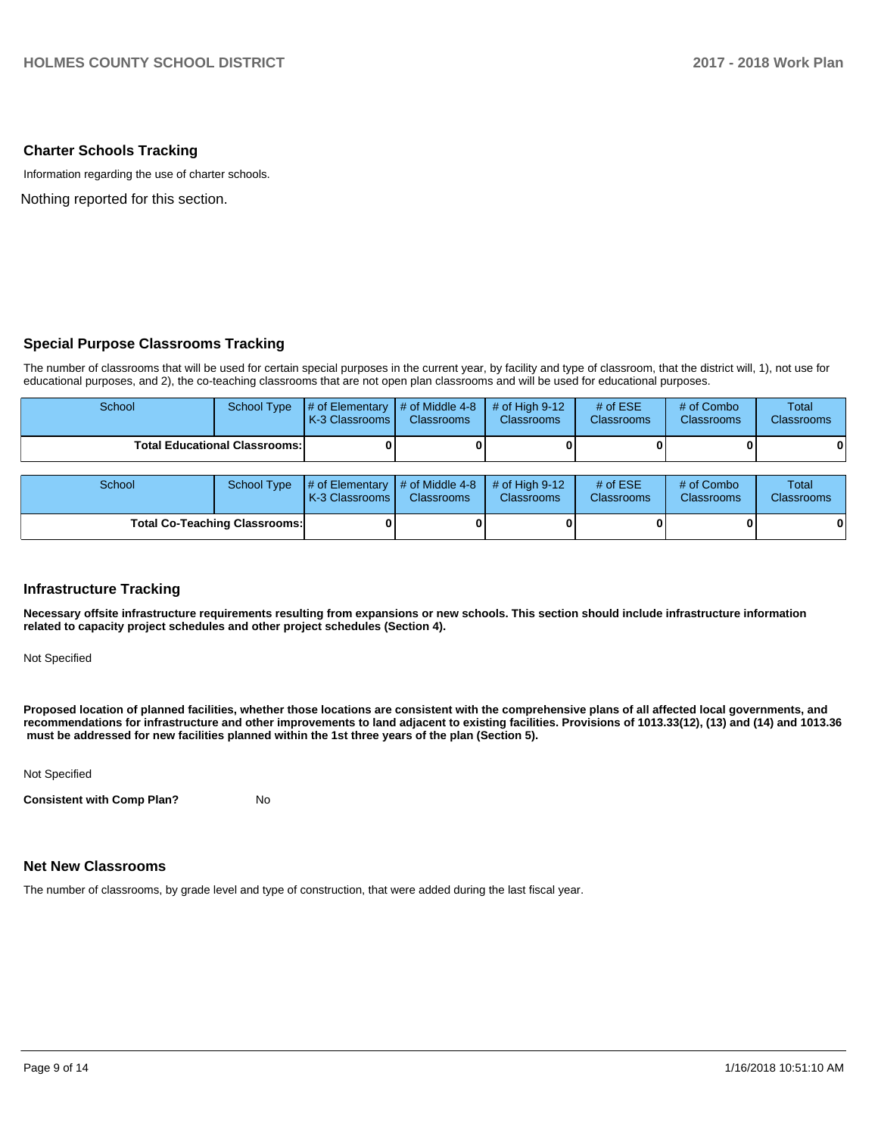#### **Charter Schools Tracking**

Information regarding the use of charter schools.

Nothing reported for this section.

## **Special Purpose Classrooms Tracking**

The number of classrooms that will be used for certain special purposes in the current year, by facility and type of classroom, that the district will, 1), not use for educational purposes, and 2), the co-teaching classrooms that are not open plan classrooms and will be used for educational purposes.

| School                               | <b>School Type</b> | # of Elementary<br>K-3 Classrooms   | $#$ of Middle 4-8<br><b>Classrooms</b>           | # of High $9-12$<br><b>Classrooms</b> | # of $ESE$<br><b>Classrooms</b> | # of Combo<br><b>Classrooms</b> | Total<br>Classrooms |
|--------------------------------------|--------------------|-------------------------------------|--------------------------------------------------|---------------------------------------|---------------------------------|---------------------------------|---------------------|
| <b>Total Educational Classrooms:</b> |                    |                                     |                                                  |                                       |                                 |                                 | 0                   |
|                                      |                    |                                     |                                                  |                                       |                                 |                                 |                     |
| School                               | <b>School Type</b> | # of Elementary<br>K-3 Classrooms I | $\parallel$ # of Middle 4-8<br><b>Classrooms</b> | # of High $9-12$<br><b>Classrooms</b> | # of $ESE$<br><b>Classrooms</b> | # of Combo<br><b>Classrooms</b> | Total<br>Classrooms |
| <b>Total Co-Teaching Classrooms:</b> |                    |                                     |                                                  |                                       |                                 |                                 | 0                   |

#### **Infrastructure Tracking**

**Necessary offsite infrastructure requirements resulting from expansions or new schools. This section should include infrastructure information related to capacity project schedules and other project schedules (Section 4).** 

Not Specified

**Proposed location of planned facilities, whether those locations are consistent with the comprehensive plans of all affected local governments, and recommendations for infrastructure and other improvements to land adjacent to existing facilities. Provisions of 1013.33(12), (13) and (14) and 1013.36** must be addressed for new facilities planned within the 1st three years of the plan (Section 5).

Not Specified

**Consistent with Comp Plan?** No

#### **Net New Classrooms**

The number of classrooms, by grade level and type of construction, that were added during the last fiscal year.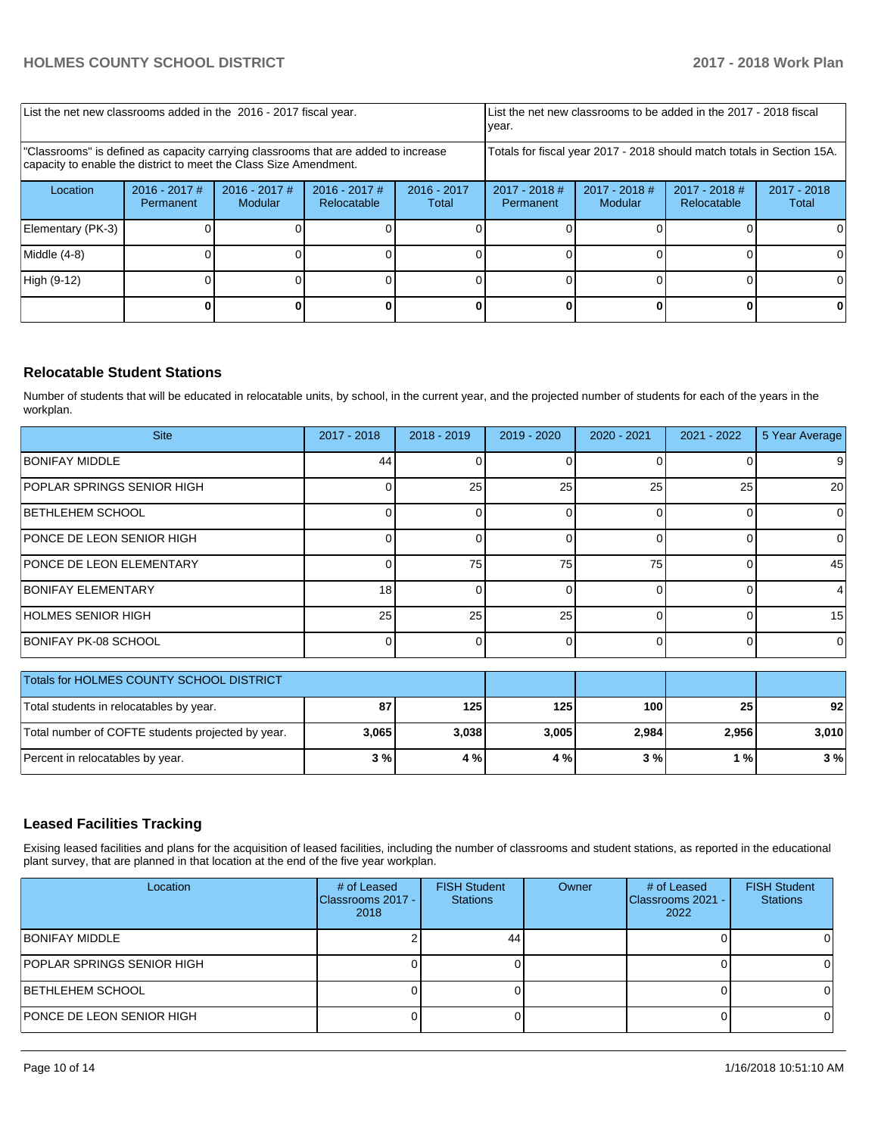| List the net new classrooms added in the 2016 - 2017 fiscal year.                                                                                       |                              |                            |                                | List the net new classrooms to be added in the 2017 - 2018 fiscal<br>year. |                                                                        |                        |  |          |  |
|---------------------------------------------------------------------------------------------------------------------------------------------------------|------------------------------|----------------------------|--------------------------------|----------------------------------------------------------------------------|------------------------------------------------------------------------|------------------------|--|----------|--|
| "Classrooms" is defined as capacity carrying classrooms that are added to increase<br>capacity to enable the district to meet the Class Size Amendment. |                              |                            |                                |                                                                            | Totals for fiscal year 2017 - 2018 should match totals in Section 15A. |                        |  |          |  |
| Location                                                                                                                                                | $2016 - 2017$ #<br>Permanent | $2016 - 2017$ #<br>Modular | $2016 - 2017$ #<br>Relocatable | $2016 - 2017$<br>Total                                                     | $2017 - 2018$ #<br>Permanent                                           | $2017 - 2018$<br>Total |  |          |  |
| Elementary (PK-3)                                                                                                                                       |                              |                            |                                |                                                                            |                                                                        |                        |  | $\Omega$ |  |
| Middle (4-8)                                                                                                                                            |                              |                            |                                |                                                                            |                                                                        |                        |  |          |  |
| High (9-12)                                                                                                                                             |                              |                            |                                |                                                                            |                                                                        |                        |  | 0        |  |
|                                                                                                                                                         |                              |                            |                                |                                                                            |                                                                        |                        |  |          |  |

## **Relocatable Student Stations**

Number of students that will be educated in relocatable units, by school, in the current year, and the projected number of students for each of the years in the workplan.

| <b>Site</b>                     | 2017 - 2018     | $2018 - 2019$ | $2019 - 2020$ | $2020 - 2021$ | $2021 - 2022$ | 5 Year Average |
|---------------------------------|-----------------|---------------|---------------|---------------|---------------|----------------|
| <b>BONIFAY MIDDLE</b>           | 44              |               |               |               |               | 9              |
| POPLAR SPRINGS SENIOR HIGH      |                 | 25            | 25            | 25            | 25            | 20             |
| <b>BETHLEHEM SCHOOL</b>         |                 |               |               |               |               |                |
| PONCE DE LEON SENIOR HIGH       |                 |               |               |               |               |                |
| <b>PONCE DE LEON ELEMENTARY</b> |                 | 75            | 75            | 75            |               | 45             |
| <b>BONIFAY ELEMENTARY</b>       | 18              |               |               |               |               |                |
| HOLMES SENIOR HIGH              | 25 <sub>1</sub> | 25            | 25            |               |               | 15             |
| BONIFAY PK-08 SCHOOL            |                 |               |               |               |               | $\Omega$       |

| Totals for HOLMES COUNTY SCHOOL DISTRICT          |       |       |       |       |                 |       |
|---------------------------------------------------|-------|-------|-------|-------|-----------------|-------|
| Total students in relocatables by year.           | 87    | 125 I | 125   | 100   | 25 <sub>l</sub> | 92    |
| Total number of COFTE students projected by year. | 3,065 | 3,038 | 3,005 | 2.984 | 2,956           | 3.010 |
| Percent in relocatables by year.                  | 3%    | 4 % I | 4 %   | 3%    | 1 % I           | 3%    |

## **Leased Facilities Tracking**

Exising leased facilities and plans for the acquisition of leased facilities, including the number of classrooms and student stations, as reported in the educational plant survey, that are planned in that location at the end of the five year workplan.

| Location                          | # of Leased<br>Classrooms 2017 -<br>2018 | <b>FISH Student</b><br><b>Stations</b> | Owner | # of Leased<br>Classrooms 2021 -<br>2022 | <b>FISH Student</b><br><b>Stations</b> |
|-----------------------------------|------------------------------------------|----------------------------------------|-------|------------------------------------------|----------------------------------------|
| <b>BONIFAY MIDDLE</b>             |                                          | 44                                     |       |                                          |                                        |
| <b>POPLAR SPRINGS SENIOR HIGH</b> |                                          |                                        |       |                                          |                                        |
| <b>BETHLEHEM SCHOOL</b>           |                                          |                                        |       |                                          |                                        |
| PONCE DE LEON SENIOR HIGH         |                                          |                                        |       |                                          |                                        |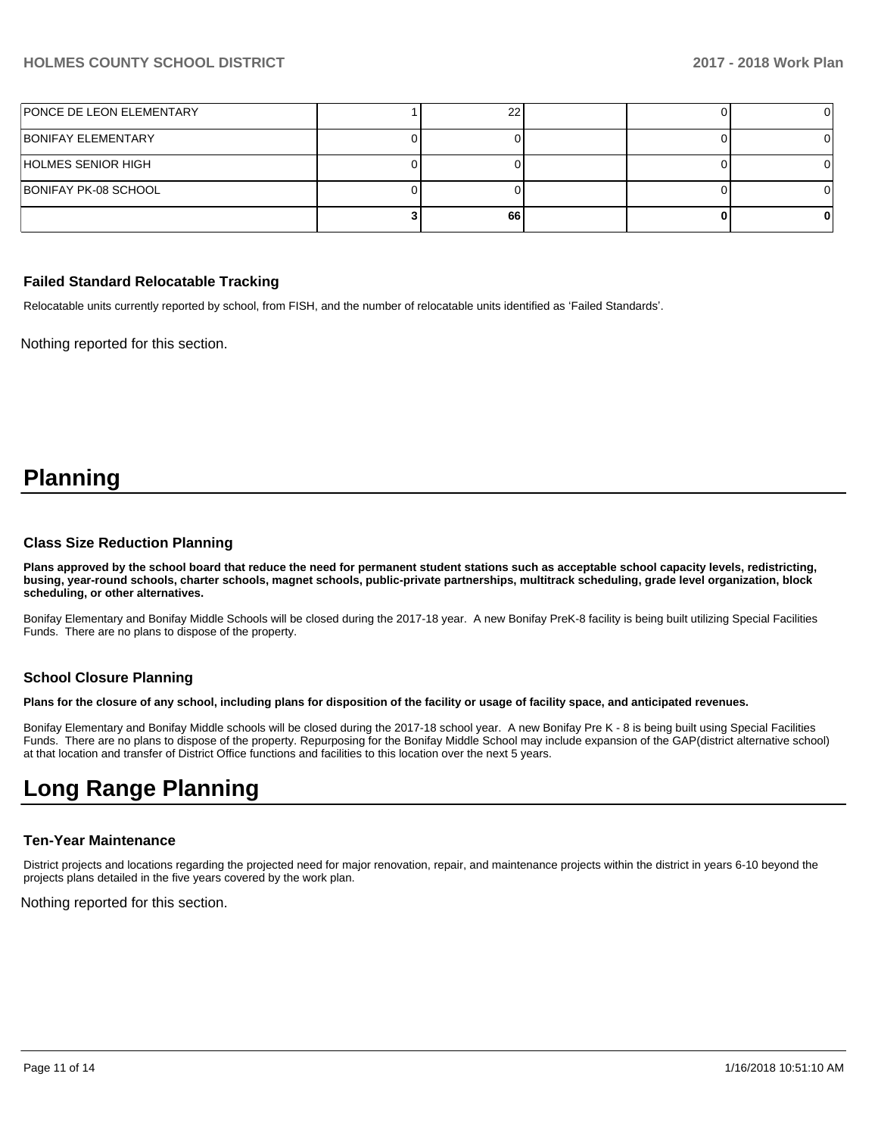| PONCE DE LEON ELEMENTARY |    |  |  |
|--------------------------|----|--|--|
| BONIFAY ELEMENTARY       |    |  |  |
| HOLMES SENIOR HIGH       |    |  |  |
| BONIFAY PK-08 SCHOOL     |    |  |  |
|                          | 66 |  |  |

#### **Failed Standard Relocatable Tracking**

Relocatable units currently reported by school, from FISH, and the number of relocatable units identified as 'Failed Standards'.

Nothing reported for this section.

## **Planning**

#### **Class Size Reduction Planning**

**Plans approved by the school board that reduce the need for permanent student stations such as acceptable school capacity levels, redistricting, busing, year-round schools, charter schools, magnet schools, public-private partnerships, multitrack scheduling, grade level organization, block scheduling, or other alternatives.**

Bonifay Elementary and Bonifay Middle Schools will be closed during the 2017-18 year. A new Bonifay PreK-8 facility is being built utilizing Special Facilities Funds. There are no plans to dispose of the property.

#### **School Closure Planning**

**Plans for the closure of any school, including plans for disposition of the facility or usage of facility space, and anticipated revenues.** 

Bonifay Elementary and Bonifay Middle schools will be closed during the 2017-18 school year. A new Bonifay Pre K - 8 is being built using Special Facilities Funds. There are no plans to dispose of the property. Repurposing for the Bonifay Middle School may include expansion of the GAP(district alternative school) at that location and transfer of District Office functions and facilities to this location over the next 5 years.

## **Long Range Planning**

#### **Ten-Year Maintenance**

District projects and locations regarding the projected need for major renovation, repair, and maintenance projects within the district in years 6-10 beyond the projects plans detailed in the five years covered by the work plan.

Nothing reported for this section.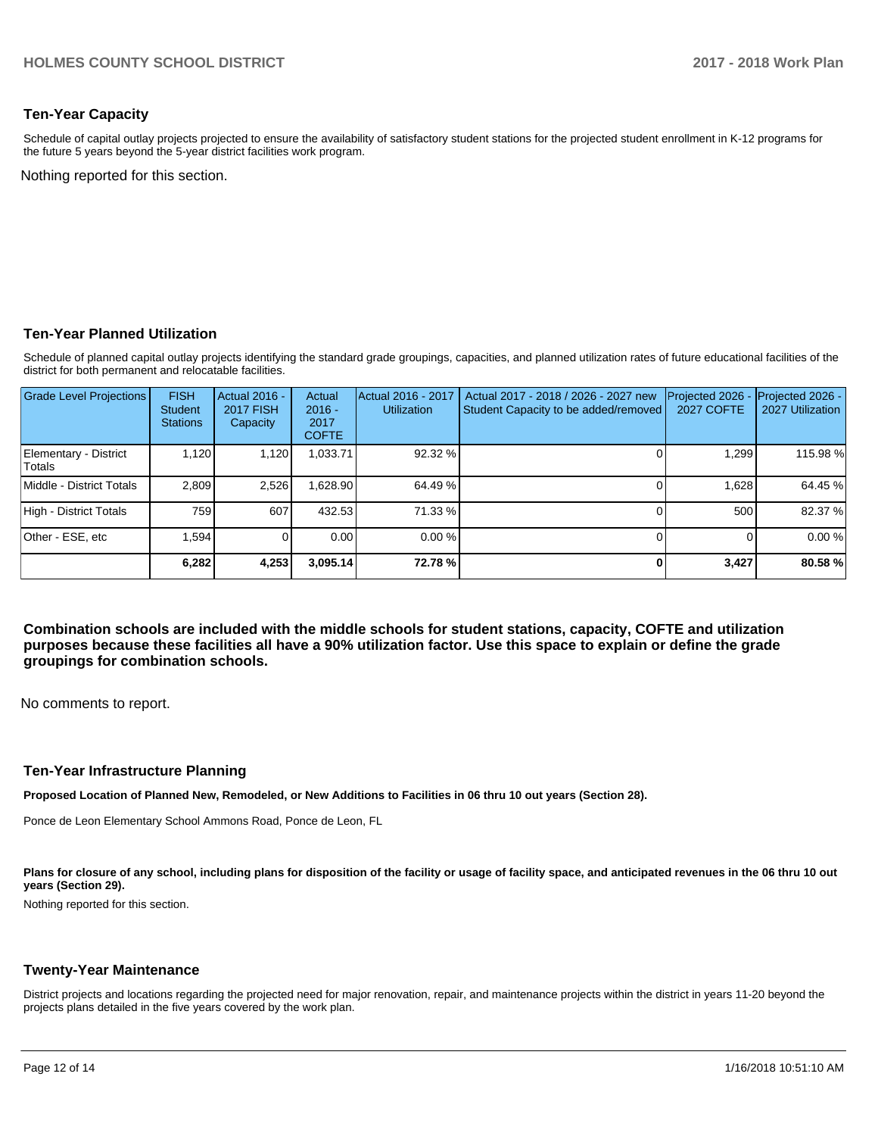### **Ten-Year Capacity**

Schedule of capital outlay projects projected to ensure the availability of satisfactory student stations for the projected student enrollment in K-12 programs for the future 5 years beyond the 5-year district facilities work program.

Nothing reported for this section.

#### **Ten-Year Planned Utilization**

Schedule of planned capital outlay projects identifying the standard grade groupings, capacities, and planned utilization rates of future educational facilities of the district for both permanent and relocatable facilities.

| <b>Grade Level Projections</b>  | <b>FISH</b><br><b>Student</b><br><b>Stations</b> | <b>Actual 2016 -</b><br><b>2017 FISH</b><br>Capacity | Actual<br>$2016 -$<br>2017<br><b>COFTE</b> | Actual 2016 - 2017<br><b>Utilization</b> | Actual 2017 - 2018 / 2026 - 2027 new<br>Student Capacity to be added/removed | Projected 2026<br><b>2027 COFTE</b> | Projected 2026 -<br>2027 Utilization |
|---------------------------------|--------------------------------------------------|------------------------------------------------------|--------------------------------------------|------------------------------------------|------------------------------------------------------------------------------|-------------------------------------|--------------------------------------|
| Elementary - District<br>Totals | 1,120                                            | 1,120                                                | .033.71                                    | 92.32 %                                  |                                                                              | 1,299                               | 115.98 %                             |
| Middle - District Totals        | 2.809                                            | 2,526                                                | .628.90                                    | 64.49 %                                  |                                                                              | 1.628                               | 64.45 %                              |
| High - District Totals          | 759                                              | 607                                                  | 432.53                                     | 71.33 %                                  |                                                                              | 500                                 | 82.37 %                              |
| Other - ESE, etc                | 1.594                                            |                                                      | 0.00                                       | $0.00\%$                                 |                                                                              |                                     | 0.00%                                |
|                                 | 6,282                                            | 4,253                                                | 3.095.14                                   | 72.78 %                                  |                                                                              | 3,427                               | 80.58%                               |

**Combination schools are included with the middle schools for student stations, capacity, COFTE and utilization purposes because these facilities all have a 90% utilization factor. Use this space to explain or define the grade groupings for combination schools.** 

No comments to report.

#### **Ten-Year Infrastructure Planning**

**Proposed Location of Planned New, Remodeled, or New Additions to Facilities in 06 thru 10 out years (Section 28).**

Ponce de Leon Elementary School Ammons Road, Ponce de Leon, FL

Plans for closure of any school, including plans for disposition of the facility or usage of facility space, and anticipated revenues in the 06 thru 10 out **years (Section 29).**

Nothing reported for this section.

#### **Twenty-Year Maintenance**

District projects and locations regarding the projected need for major renovation, repair, and maintenance projects within the district in years 11-20 beyond the projects plans detailed in the five years covered by the work plan.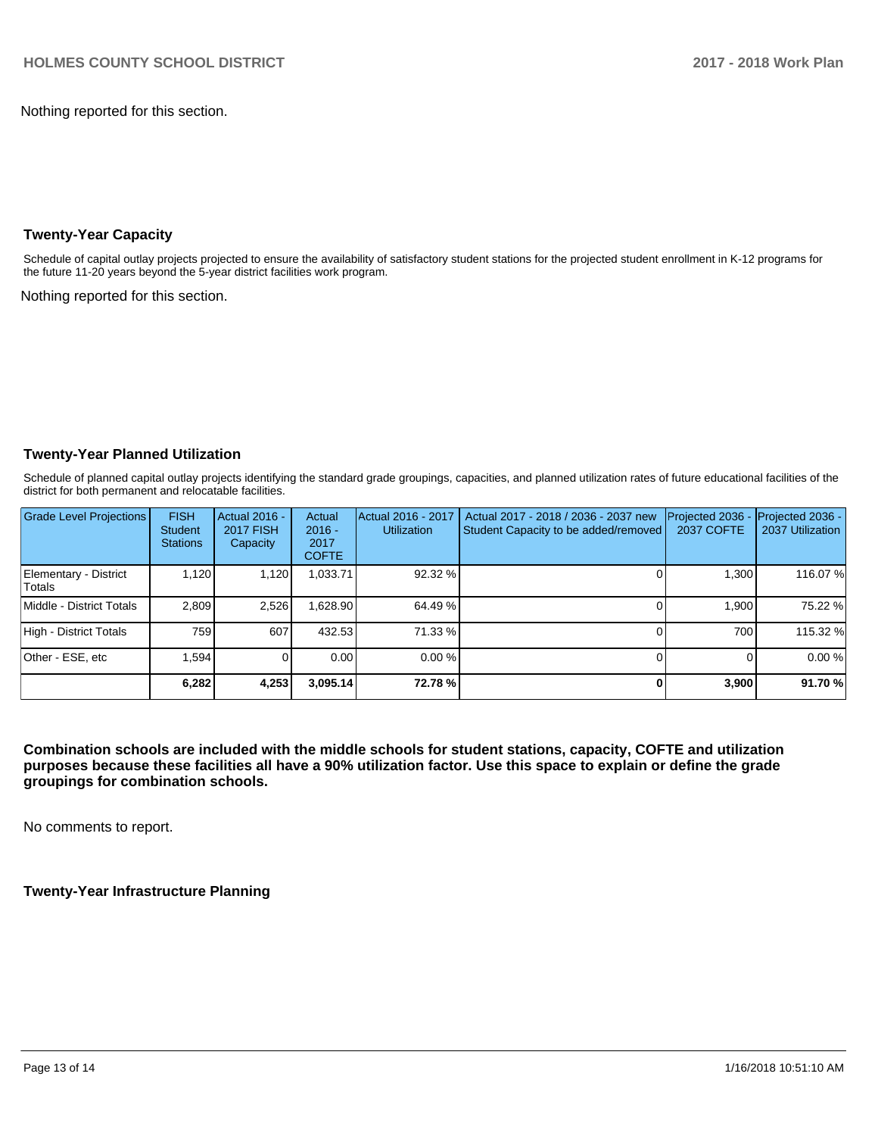Nothing reported for this section.

## **Twenty-Year Capacity**

Schedule of capital outlay projects projected to ensure the availability of satisfactory student stations for the projected student enrollment in K-12 programs for the future 11-20 years beyond the 5-year district facilities work program.

Nothing reported for this section.

## **Twenty-Year Planned Utilization**

Schedule of planned capital outlay projects identifying the standard grade groupings, capacities, and planned utilization rates of future educational facilities of the district for both permanent and relocatable facilities.

| Grade Level Projections          | <b>FISH</b><br><b>Student</b><br><b>Stations</b> | Actual 2016 -<br><b>2017 FISH</b><br>Capacity | Actual<br>$2016 -$<br>2017<br><b>COFTE</b> | Actual 2016 - 2017<br><b>Utilization</b> | Actual 2017 - 2018 / 2036 - 2037 new<br>Student Capacity to be added/removed | Projected 2036 -<br>2037 COFTE | Projected 2036 -<br>2037 Utilization |
|----------------------------------|--------------------------------------------------|-----------------------------------------------|--------------------------------------------|------------------------------------------|------------------------------------------------------------------------------|--------------------------------|--------------------------------------|
| Elementary - District<br>lTotals | 1.120                                            | 1,120                                         | 1,033.71                                   | 92.32 %                                  |                                                                              | 1,300                          | 116.07%                              |
| Middle - District Totals         | 2.809                                            | 2,526                                         | .628.90                                    | 64.49 %                                  |                                                                              | 1.900                          | 75.22 %                              |
| High - District Totals           | 7591                                             | 607                                           | 432.53                                     | 71.33 %                                  |                                                                              | 700                            | 115.32 %                             |
| Other - ESE, etc                 | 1.594                                            |                                               | 0.00                                       | 0.00%                                    |                                                                              |                                | 0.00%                                |
|                                  | 6,282                                            | 4,253                                         | 3,095.14                                   | 72.78%                                   |                                                                              | 3,900                          | 91.70 %                              |

**Combination schools are included with the middle schools for student stations, capacity, COFTE and utilization purposes because these facilities all have a 90% utilization factor. Use this space to explain or define the grade groupings for combination schools.** 

No comments to report.

**Twenty-Year Infrastructure Planning**